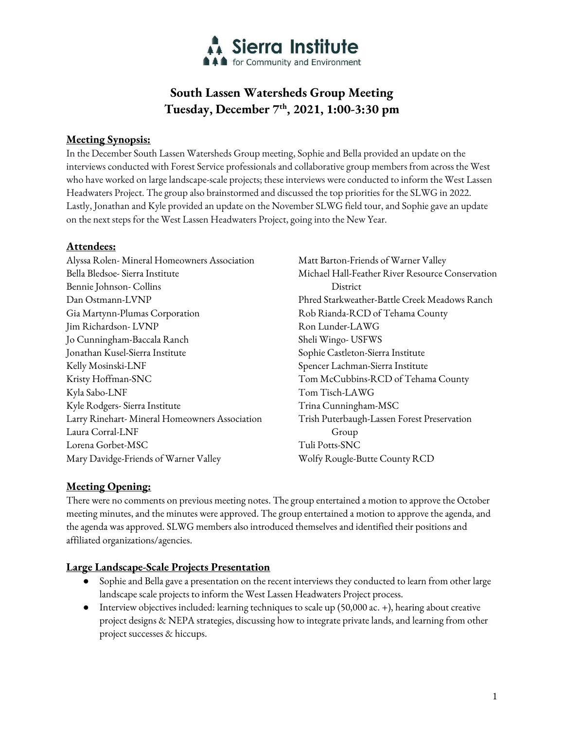

# **South Lassen Watersheds Group Meeting Tuesday, December 7th, 2021, 1:00-3:30 pm**

# **Meeting Synopsis:**

In the December South Lassen Watersheds Group meeting, Sophie and Bella provided an update on the interviews conducted with Forest Service professionals and collaborative group members from across the West who have worked on large landscape-scale projects; these interviews were conducted to inform the West Lassen Headwaters Project. The group also brainstormed and discussed the top priorities for the SLWG in 2022. Lastly, Jonathan and Kyle provided an update on the November SLWG field tour, and Sophie gave an update on the next steps for the West Lassen Headwaters Project, going into the New Year.

# **Attendees:**

Alyssa Rolen- Mineral Homeowners Association Bella Bledsoe- Sierra Institute Bennie Johnson- Collins Dan Ostmann-LVNP Gia Martynn-Plumas Corporation Jim Richardson- LVNP Jo Cunningham-Baccala Ranch Jonathan Kusel-Sierra Institute Kelly Mosinski-LNF Kristy Hoffman-SNC Kyla Sabo-LNF Kyle Rodgers- Sierra Institute Larry Rinehart- Mineral Homeowners Association Laura Corral-LNF Lorena Gorbet-MSC Mary Davidge-Friends of Warner Valley Matt Barton-Friends of Warner Valley Michael Hall-Feather River Resource Conservation District Phred Starkweather-Battle Creek Meadows Ranch Rob Rianda-RCD of Tehama County Ron Lunder-LAWG Sheli Wingo- USFWS Sophie Castleton-Sierra Institute Spencer Lachman-Sierra Institute Tom McCubbins-RCD of Tehama County Tom Tisch-LAWG Trina Cunningham-MSC Trish Puterbaugh-Lassen Forest Preservation Group Tuli Potts-SNC Wolfy Rougle-Butte County RCD

# **Meeting Opening:**

There were no comments on previous meeting notes. The group entertained a motion to approve the October meeting minutes, and the minutes were approved. The group entertained a motion to approve the agenda, and the agenda was approved. SLWG members also introduced themselves and identified their positions and affiliated organizations/agencies.

# **Large Landscape-Scale Projects Presentation**

- Sophie and Bella gave a presentation on the recent interviews they conducted to learn from other large landscape scale projects to inform the West Lassen Headwaters Project process.
- Interview objectives included: learning techniques to scale up (50,000 ac. +), hearing about creative project designs & NEPA strategies, discussing how to integrate private lands, and learning from other project successes & hiccups.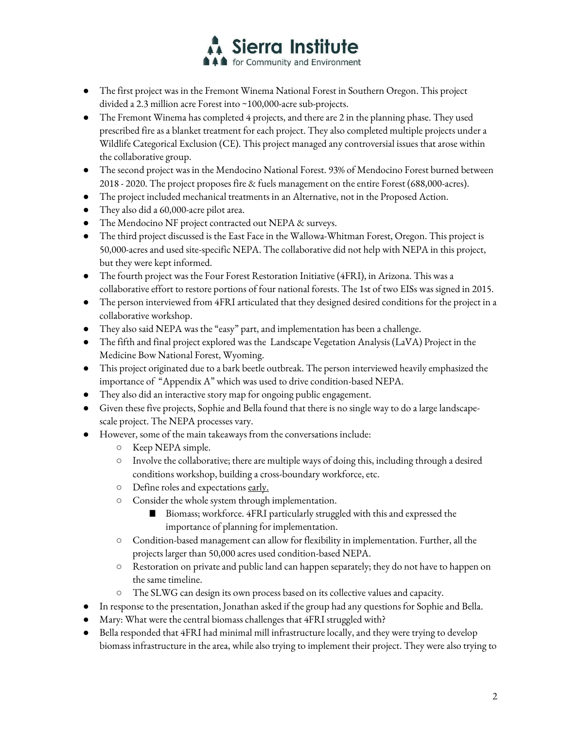

- The first project was in the Fremont Winema National Forest in Southern Oregon. This project divided a 2.3 million acre Forest into ~100,000-acre sub-projects.
- The Fremont Winema has completed 4 projects, and there are 2 in the planning phase. They used prescribed fire as a blanket treatment for each project. They also completed multiple projects under a Wildlife Categorical Exclusion (CE). This project managed any controversial issues that arose within the collaborative group.
- The second project was in the Mendocino National Forest. 93% of Mendocino Forest burned between 2018 - 2020. The project proposes fire & fuels management on the entire Forest (688,000-acres).
- The project included mechanical treatments in an Alternative, not in the Proposed Action.
- They also did a 60,000-acre pilot area.
- The Mendocino NF project contracted out NEPA & surveys.
- The third project discussed is the East Face in the Wallowa-Whitman Forest, Oregon. This project is 50,000-acres and used site-specific NEPA. The collaborative did not help with NEPA in this project, but they were kept informed.
- The fourth project was the Four Forest Restoration Initiative (4FRI), in Arizona. This was a collaborative effort to restore portions of four national forests. The 1st of two EISs was signed in 2015.
- The person interviewed from 4FRI articulated that they designed desired conditions for the project in a collaborative workshop.
- They also said NEPA was the "easy" part, and implementation has been a challenge.
- The fifth and final project explored was the Landscape Vegetation Analysis (LaVA) Project in the Medicine Bow National Forest, Wyoming.
- This project originated due to a bark beetle outbreak. The person interviewed heavily emphasized the importance of "Appendix A" which was used to drive condition-based NEPA.
- They also did an interactive story map for ongoing public engagement.
- Given these five projects, Sophie and Bella found that there is no single way to do a large landscapescale project. The NEPA processes vary.
- However, some of the main takeaways from the conversations include:
	- Keep NEPA simple.
	- $\circ$  Involve the collaborative; there are multiple ways of doing this, including through a desired conditions workshop, building a cross-boundary workforce, etc.
	- Define roles and expectations early.
	- Consider the whole system through implementation.
		- Biomass; workforce. 4FRI particularly struggled with this and expressed the importance of planning for implementation.
	- Condition-based management can allow for flexibility in implementation. Further, all the projects larger than 50,000 acres used condition-based NEPA.
	- Restoration on private and public land can happen separately; they do not have to happen on the same timeline.
	- The SLWG can design its own process based on its collective values and capacity.
- In response to the presentation, Jonathan asked if the group had any questions for Sophie and Bella.
- Mary: What were the central biomass challenges that  $4\mathrm{FRI}$  struggled with?
- Bella responded that 4FRI had minimal mill infrastructure locally, and they were trying to develop biomass infrastructure in the area, while also trying to implement their project. They were also trying to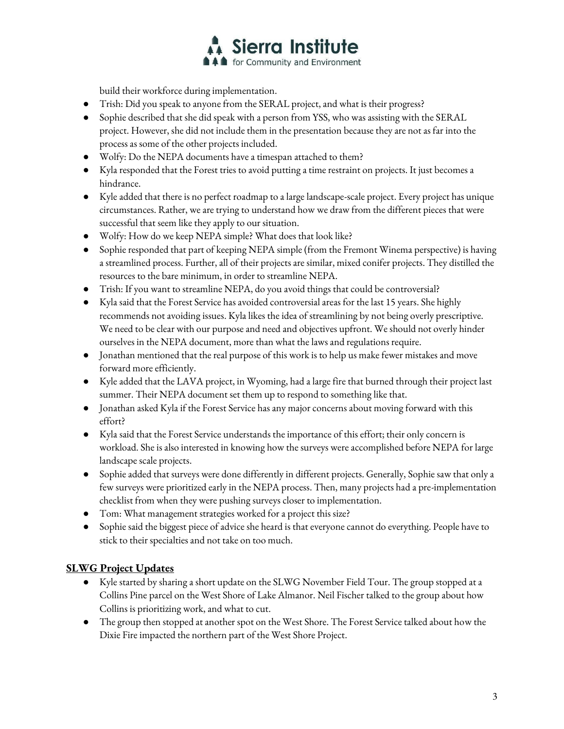

build their workforce during implementation.

- Trish: Did you speak to anyone from the SERAL project, and what is their progress?
- Sophie described that she did speak with a person from YSS, who was assisting with the SERAL project. However, she did not include them in the presentation because they are not as far into the process as some of the other projects included.
- Wolfy: Do the NEPA documents have a timespan attached to them?
- Kyla responded that the Forest tries to avoid putting a time restraint on projects. It just becomes a hindrance.
- Kyle added that there is no perfect roadmap to a large landscape-scale project. Every project has unique circumstances. Rather, we are trying to understand how we draw from the different pieces that were successful that seem like they apply to our situation.
- Wolfy: How do we keep NEPA simple? What does that look like?
- Sophie responded that part of keeping NEPA simple (from the Fremont Winema perspective) is having a streamlined process. Further, all of their projects are similar, mixed conifer projects. They distilled the resources to the bare minimum, in order to streamline NEPA.
- Trish: If you want to streamline NEPA, do you avoid things that could be controversial?
- Kylasaid that the Forest Service has avoided controversial areas for the last 15 years. She highly recommends not avoiding issues. Kyla likes the idea of streamlining by not being overly prescriptive. We need to be clear with our purpose and need and objectives upfront. We should not overly hinder ourselves in the NEPA document, more than what the laws and regulations require.
- Jonathan mentioned that the real purpose of this work is to help us make fewer mistakes and move forward more efficiently.
- Kyle added that the LAVA project, in Wyoming, had a large fire that burned through their project last summer. Their NEPA document set them up to respond to something like that.
- Jonathan asked Kyla if the Forest Service has any major concerns about moving forward with this effort?
- Kyla said that the Forest Service understands the importance of this effort; their only concern is workload. She is also interested in knowing how the surveys were accomplished before NEPA for large landscape scale projects.
- Sophie added that surveys were done differently in different projects. Generally, Sophie saw that only a few surveys were prioritized early in the NEPA process. Then, many projects had a pre-implementation checklist from when they were pushing surveys closer to implementation.
- Tom: What management strategies worked for a project this size?
- Sophie said the biggest piece of advice she heard is that everyone cannot do everything. People have to stick to their specialties and not take on too much.

# **SLWG Project Updates**

- Kyle started by sharing a short update on the SLWG November Field Tour. The group stopped at a Collins Pine parcel on the West Shore of Lake Almanor. Neil Fischer talked to the group about how Collins is prioritizing work, and what to cut.
- The group then stopped at another spot on the West Shore. The Forest Service talked about how the Dixie Fire impacted the northern part of the West Shore Project.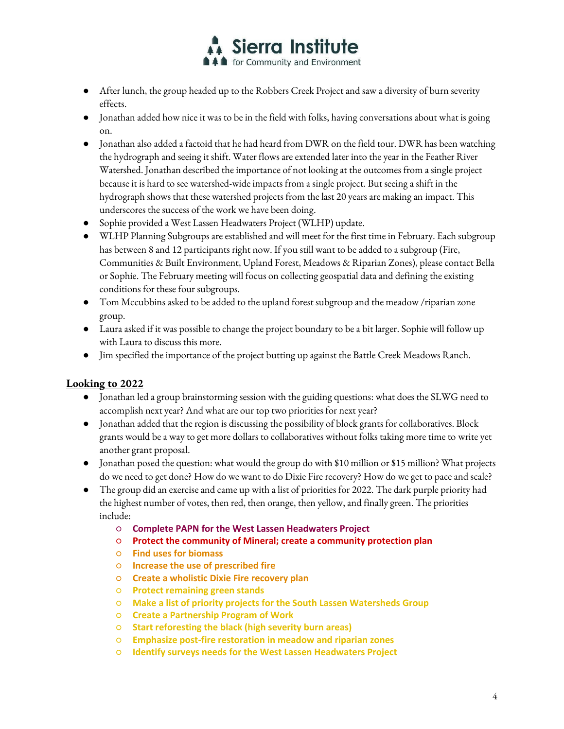

- After lunch, the group headed up to the Robbers Creek Project and saw a diversity of burn severity effects.
- Jonathan added how nice it was to be in the field with folks, having conversations about what is going on.
- Jonathan also added a factoid that he had heard from DWR on the field tour. DWR has been watching the hydrograph and seeing it shift. Water flows are extended later into the year in the Feather River Watershed. Jonathan described the importance of not looking at the outcomes from a single project because it is hard to see watershed-wide impacts from a single project. But seeing a shift in the hydrograph shows that these watershed projects from the last 20 years are making an impact. This underscores the success of the work we have been doing.
- Sophie provided a West Lassen Headwaters Project (WLHP) update.
- WLHP Planning Subgroups are established and will meet for the first time in February. Each subgroup has between 8 and 12 participants right now. If you still want to be added to a subgroup (Fire, Communities & Built Environment, Upland Forest, Meadows & Riparian Zones), please contact Bella or Sophie. The February meeting will focus on collecting geospatial data and defining the existing conditions for these four subgroups.
- Tom Mccubbins asked to be added to the upland forest subgroup and the meadow /riparian zone group.
- Laura asked if it was possible to change the project boundary to be a bit larger. Sophie will follow up with Laura to discuss this more.
- Jim specified the importance of the project butting up against the Battle Creek Meadows Ranch.

#### **Looking to 2022**

- Jonathan led a group brainstorming session with the guiding questions: what does the SLWG need to accomplish next year? And what are our top two priorities for next year?
- Jonathan added that the region is discussing the possibility of block grants for collaboratives. Block grants would be a way to get more dollars to collaboratives without folks taking more time to write yet another grant proposal.
- Jonathan posed the question: what would the group do with \$10 million or \$15 million? What projects do we need to get done? How do we want to do Dixie Fire recovery? How do we get to pace and scale?
- The group did an exercise and came up with a list of priorities for 2022. The dark purple priority had the highest number of votes, then red, then orange, then yellow, and finally green. The priorities include:
	- **Complete PAPN for the West Lassen Headwaters Project**
	- **Protect the community of Mineral; create a community protection plan**
	- **Find uses for biomass**
	- **Increase the use of prescribed fire**
	- **Create a wholistic Dixie Fire recovery plan**
	- **Protect remaining green stands**
	- **Make a list of priority projects for the South Lassen Watersheds Group**
	- **Create a Partnership Program of Work**
	- **Start reforesting the black (high severity burn areas)**
	- **Emphasize post-fire restoration in meadow and riparian zones**
	- **Identify surveys needs for the West Lassen Headwaters Project**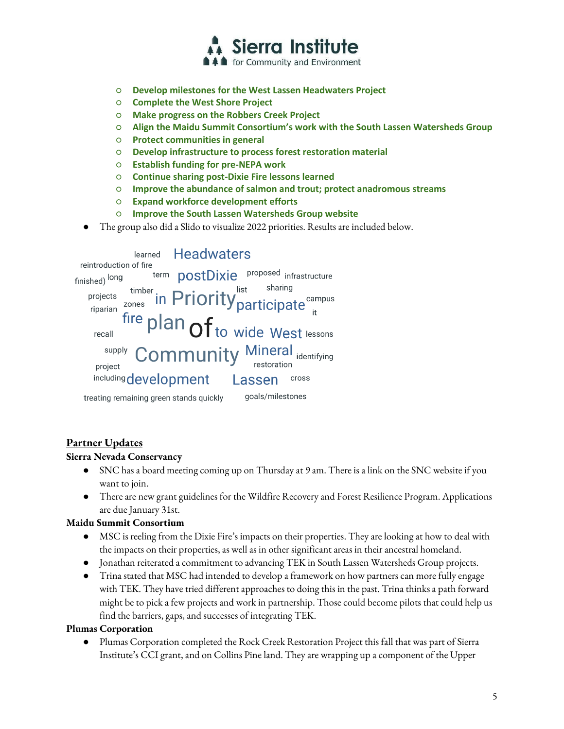

- **Develop milestones for the West Lassen Headwaters Project**
- **Complete the West Shore Project**
- **Make progress on the Robbers Creek Project**
- **Align the Maidu Summit Consortium's work with the South Lassen Watersheds Group**
- **Protect communities in general**
- **Develop infrastructure to process forest restoration material**
- **Establish funding for pre-NEPA work**
- **Continue sharing post-Dixie Fire lessons learned**
- **Improve the abundance of salmon and trout; protect anadromous streams**
- **Expand workforce development efforts**
- **Improve the South Lassen Watersheds Group website**
- The group also did a Slido to visualize 2022 priorities. Results are included below.

**Headwaters** learned reintroduction of fire term **postDixie proposed** infrastructure finished) long sharing list timber projects in Priority participate<sup>campus</sup> zones riparian fire plan  $of$  to wide West lessons recall **Community Mineral identifying** supply restoration project including development Lassen cross treating remaining green stands quickly goals/milestones

# **Partner Updates**

#### **Sierra Nevada Conservancy**

- SNC has a board meeting coming up on Thursday at 9 am. There is a link on the SNC website if you want to join.
- There are new grant guidelines for the Wildfire Recovery and Forest Resilience Program. Applications are due January 31st.

#### **Maidu Summit Consortium**

- MSC is reeling from the Dixie Fire's impacts on their properties. They are looking at how to deal with the impacts on their properties, as well as in other significant areas in their ancestral homeland.
- Jonathan reiterated a commitment to advancing TEK in South Lassen Watersheds Group projects.
- Trina stated that MSC had intended to develop a framework on how partners can more fully engage with TEK. They have tried different approaches to doing this in the past. Trina thinks a path forward might be to pick a few projects and work in partnership. Those could become pilots that could help us find the barriers, gaps, and successes of integrating TEK.

#### **Plumas Corporation**

Plumas Corporation completed the Rock Creek Restoration Project this fall that was part of Sierra Institute's CCI grant, and on Collins Pine land. They are wrapping up a component of the Upper